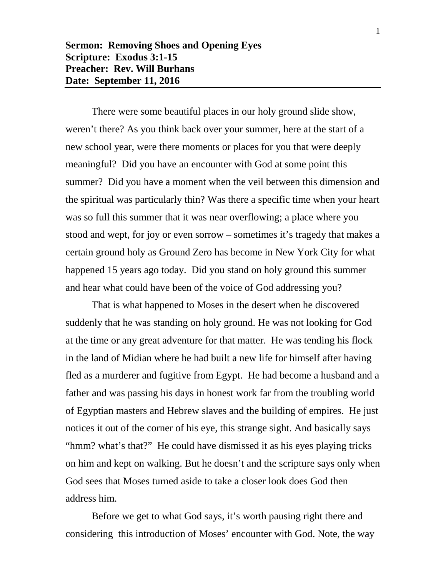**Sermon: Removing Shoes and Opening Eyes Scripture: Exodus 3:1-15 Preacher: Rev. Will Burhans Date: September 11, 2016**

There were some beautiful places in our holy ground slide show, weren't there? As you think back over your summer, here at the start of a new school year, were there moments or places for you that were deeply meaningful? Did you have an encounter with God at some point this summer? Did you have a moment when the veil between this dimension and the spiritual was particularly thin? Was there a specific time when your heart was so full this summer that it was near overflowing; a place where you stood and wept, for joy or even sorrow – sometimes it's tragedy that makes a certain ground holy as Ground Zero has become in New York City for what happened 15 years ago today. Did you stand on holy ground this summer and hear what could have been of the voice of God addressing you?

That is what happened to Moses in the desert when he discovered suddenly that he was standing on holy ground. He was not looking for God at the time or any great adventure for that matter. He was tending his flock in the land of Midian where he had built a new life for himself after having fled as a murderer and fugitive from Egypt. He had become a husband and a father and was passing his days in honest work far from the troubling world of Egyptian masters and Hebrew slaves and the building of empires. He just notices it out of the corner of his eye, this strange sight. And basically says "hmm? what's that?" He could have dismissed it as his eyes playing tricks on him and kept on walking. But he doesn't and the scripture says only when God sees that Moses turned aside to take a closer look does God then address him.

Before we get to what God says, it's worth pausing right there and considering this introduction of Moses' encounter with God. Note, the way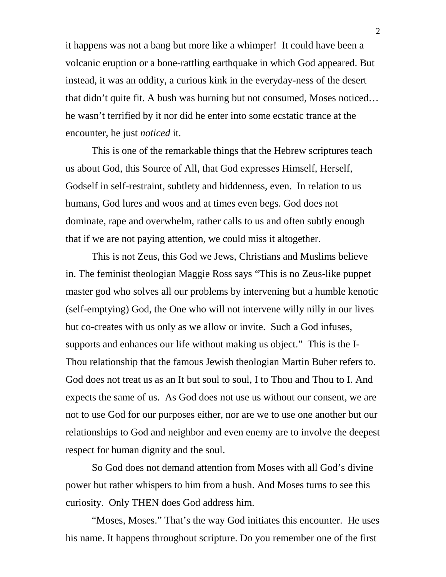it happens was not a bang but more like a whimper! It could have been a volcanic eruption or a bone-rattling earthquake in which God appeared. But instead, it was an oddity, a curious kink in the everyday-ness of the desert that didn't quite fit. A bush was burning but not consumed, Moses noticed… he wasn't terrified by it nor did he enter into some ecstatic trance at the encounter, he just *noticed* it.

This is one of the remarkable things that the Hebrew scriptures teach us about God, this Source of All, that God expresses Himself, Herself, Godself in self-restraint, subtlety and hiddenness, even. In relation to us humans, God lures and woos and at times even begs. God does not dominate, rape and overwhelm, rather calls to us and often subtly enough that if we are not paying attention, we could miss it altogether.

This is not Zeus, this God we Jews, Christians and Muslims believe in. The feminist theologian Maggie Ross says "This is no Zeus-like puppet master god who solves all our problems by intervening but a humble kenotic (self-emptying) God, the One who will not intervene willy nilly in our lives but co-creates with us only as we allow or invite. Such a God infuses, supports and enhances our life without making us object." This is the I-Thou relationship that the famous Jewish theologian Martin Buber refers to. God does not treat us as an It but soul to soul, I to Thou and Thou to I. And expects the same of us. As God does not use us without our consent, we are not to use God for our purposes either, nor are we to use one another but our relationships to God and neighbor and even enemy are to involve the deepest respect for human dignity and the soul.

So God does not demand attention from Moses with all God's divine power but rather whispers to him from a bush. And Moses turns to see this curiosity. Only THEN does God address him.

"Moses, Moses." That's the way God initiates this encounter. He uses his name. It happens throughout scripture. Do you remember one of the first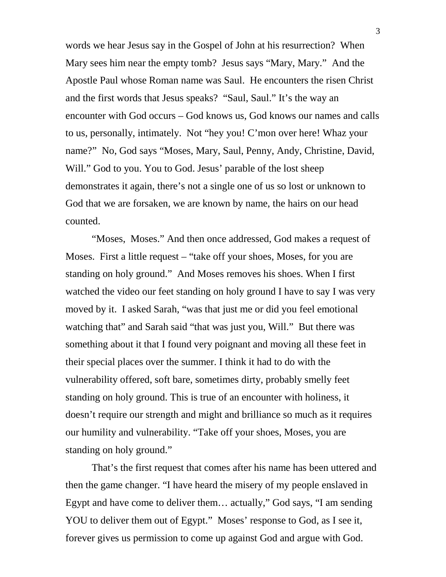words we hear Jesus say in the Gospel of John at his resurrection? When Mary sees him near the empty tomb? Jesus says "Mary, Mary." And the Apostle Paul whose Roman name was Saul. He encounters the risen Christ and the first words that Jesus speaks? "Saul, Saul." It's the way an encounter with God occurs – God knows us, God knows our names and calls to us, personally, intimately. Not "hey you! C'mon over here! Whaz your name?" No, God says "Moses, Mary, Saul, Penny, Andy, Christine, David, Will." God to you. You to God. Jesus' parable of the lost sheep demonstrates it again, there's not a single one of us so lost or unknown to God that we are forsaken, we are known by name, the hairs on our head counted.

"Moses, Moses." And then once addressed, God makes a request of Moses. First a little request – "take off your shoes, Moses, for you are standing on holy ground." And Moses removes his shoes. When I first watched the video our feet standing on holy ground I have to say I was very moved by it. I asked Sarah, "was that just me or did you feel emotional watching that" and Sarah said "that was just you, Will." But there was something about it that I found very poignant and moving all these feet in their special places over the summer. I think it had to do with the vulnerability offered, soft bare, sometimes dirty, probably smelly feet standing on holy ground. This is true of an encounter with holiness, it doesn't require our strength and might and brilliance so much as it requires our humility and vulnerability. "Take off your shoes, Moses, you are standing on holy ground."

That's the first request that comes after his name has been uttered and then the game changer. "I have heard the misery of my people enslaved in Egypt and have come to deliver them… actually," God says, "I am sending YOU to deliver them out of Egypt." Moses' response to God, as I see it, forever gives us permission to come up against God and argue with God.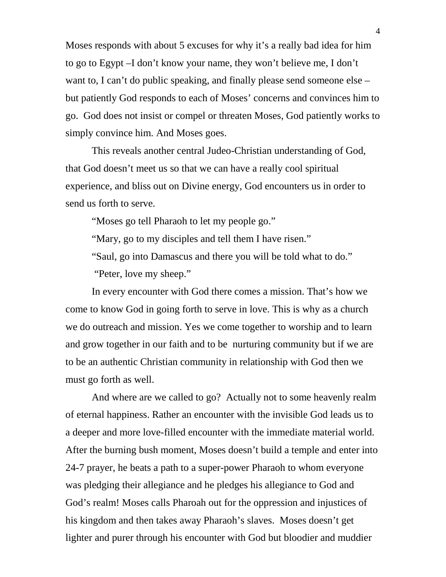Moses responds with about 5 excuses for why it's a really bad idea for him to go to Egypt –I don't know your name, they won't believe me, I don't want to, I can't do public speaking, and finally please send someone else – but patiently God responds to each of Moses' concerns and convinces him to go. God does not insist or compel or threaten Moses, God patiently works to simply convince him. And Moses goes.

This reveals another central Judeo-Christian understanding of God, that God doesn't meet us so that we can have a really cool spiritual experience, and bliss out on Divine energy, God encounters us in order to send us forth to serve.

"Moses go tell Pharaoh to let my people go."

"Mary, go to my disciples and tell them I have risen."

"Saul, go into Damascus and there you will be told what to do."

"Peter, love my sheep."

In every encounter with God there comes a mission. That's how we come to know God in going forth to serve in love. This is why as a church we do outreach and mission. Yes we come together to worship and to learn and grow together in our faith and to be nurturing community but if we are to be an authentic Christian community in relationship with God then we must go forth as well.

And where are we called to go? Actually not to some heavenly realm of eternal happiness. Rather an encounter with the invisible God leads us to a deeper and more love-filled encounter with the immediate material world. After the burning bush moment, Moses doesn't build a temple and enter into 24-7 prayer, he beats a path to a super-power Pharaoh to whom everyone was pledging their allegiance and he pledges his allegiance to God and God's realm! Moses calls Pharoah out for the oppression and injustices of his kingdom and then takes away Pharaoh's slaves. Moses doesn't get lighter and purer through his encounter with God but bloodier and muddier